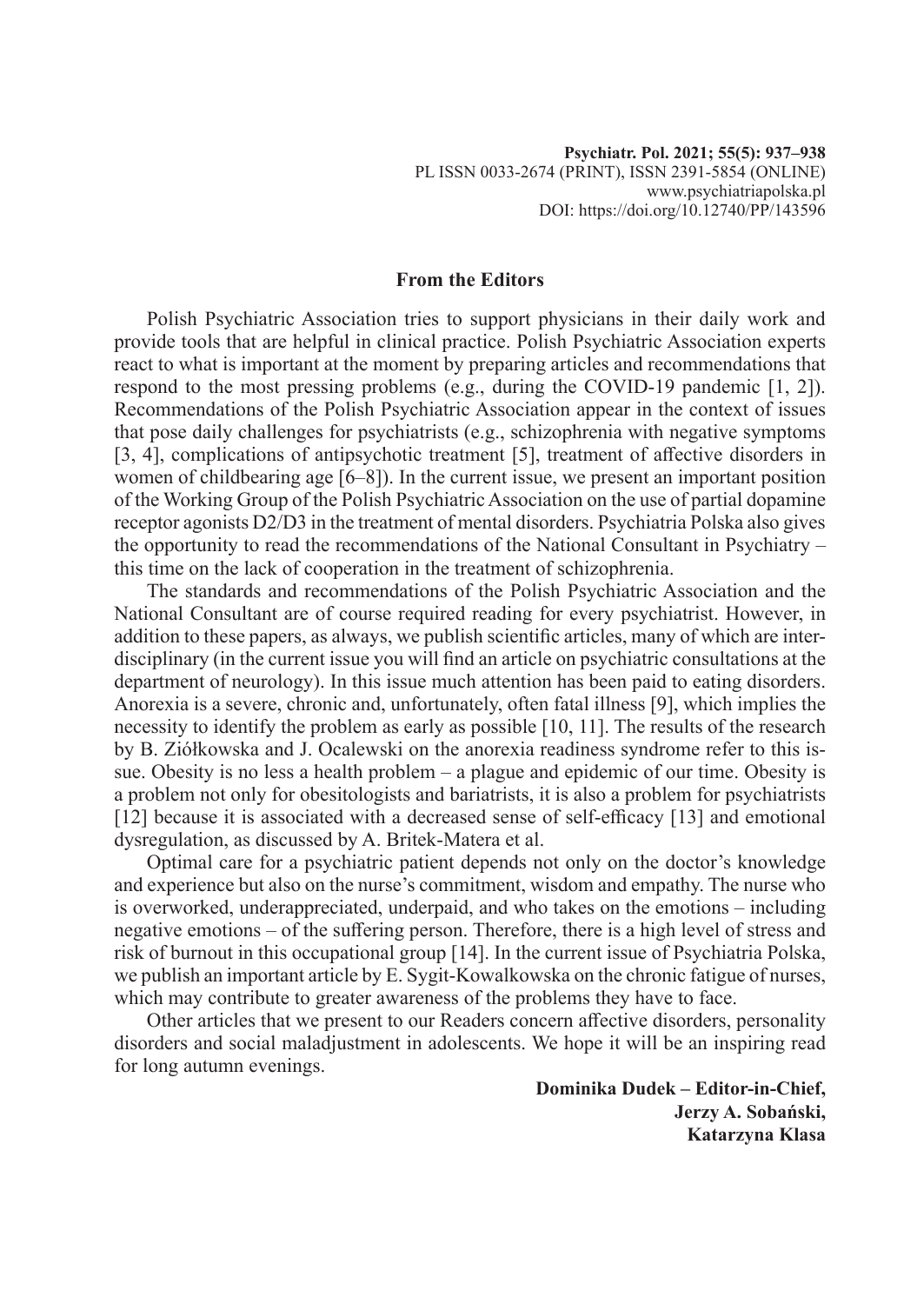## **From the Editors**

Polish Psychiatric Association tries to support physicians in their daily work and provide tools that are helpful in clinical practice. Polish Psychiatric Association experts react to what is important at the moment by preparing articles and recommendations that respond to the most pressing problems (e.g., during the COVID-19 pandemic [1, 2]). Recommendations of the Polish Psychiatric Association appear in the context of issues that pose daily challenges for psychiatrists (e.g., schizophrenia with negative symptoms [3, 4], complications of antipsychotic treatment [5], treatment of affective disorders in women of childbearing age [6–8]). In the current issue, we present an important position of the Working Group of the Polish Psychiatric Association on the use of partial dopamine receptor agonists D2/D3 in the treatment of mental disorders. Psychiatria Polska also gives the opportunity to read the recommendations of the National Consultant in Psychiatry – this time on the lack of cooperation in the treatment of schizophrenia.

The standards and recommendations of the Polish Psychiatric Association and the National Consultant are of course required reading for every psychiatrist. However, in addition to these papers, as always, we publish scientific articles, many of which are interdisciplinary (in the current issue you will find an article on psychiatric consultations at the department of neurology). In this issue much attention has been paid to eating disorders. Anorexia is a severe, chronic and, unfortunately, often fatal illness [9], which implies the necessity to identify the problem as early as possible [10, 11]. The results of the research by B. Ziółkowska and J. Ocalewski on the anorexia readiness syndrome refer to this issue. Obesity is no less a health problem – a plague and epidemic of our time. Obesity is a problem not only for obesitologists and bariatrists, it is also a problem for psychiatrists [12] because it is associated with a decreased sense of self-efficacy [13] and emotional dysregulation, as discussed by A. Britek-Matera et al.

Optimal care for a psychiatric patient depends not only on the doctor's knowledge and experience but also on the nurse's commitment, wisdom and empathy. The nurse who is overworked, underappreciated, underpaid, and who takes on the emotions – including negative emotions – of the suffering person. Therefore, there is a high level of stress and risk of burnout in this occupational group [14]. In the current issue of Psychiatria Polska, we publish an important article by E. Sygit-Kowalkowska on the chronic fatigue of nurses, which may contribute to greater awareness of the problems they have to face.

Other articles that we present to our Readers concern affective disorders, personality disorders and social maladjustment in adolescents. We hope it will be an inspiring read for long autumn evenings.

> **Dominika Dudek – Editor-in-Chief, Jerzy A. Sobański, Katarzyna Klasa**